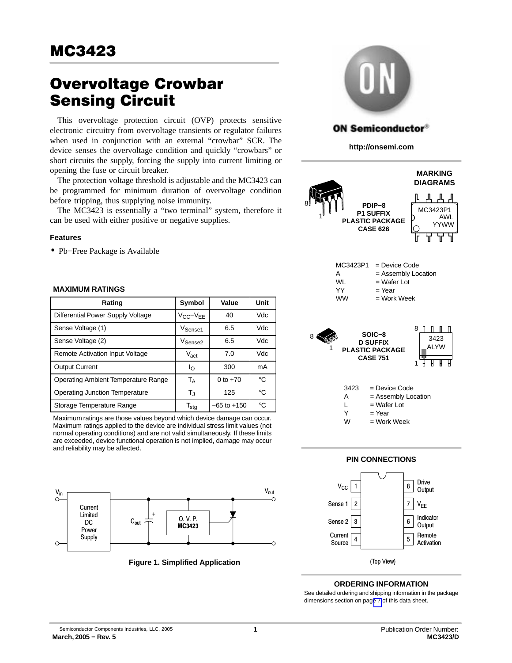# **Overvoltage Crowbar<br>Sensing Circuit**

This overvoltage protection circuit (OVP) protects sensitive electronic circuitry from overvoltage transients or regulator failures when used in conjunction with an external "crowbar" SCR. The device senses the overvoltage condition and quickly "crowbars" or short circuits the supply, forcing the supply into current limiting or opening the fuse or circuit breaker.

The protection voltage threshold is adjustable and the MC3423 can be programmed for minimum duration of overvoltage condition before tripping, thus supplying noise immunity.

The MC3423 is essentially a "two terminal" system, therefore it can be used with either positive or negative supplies.

## **Features**

• Pb−Free Package is Available

## **MAXIMUM RATINGS**

| Rating                                | Symbol                      | Value           | Unit        |
|---------------------------------------|-----------------------------|-----------------|-------------|
| Differential Power Supply Voltage     | $V_{CC}-V_{EE}$             | 40              | <b>Vdc</b>  |
| Sense Voltage (1)                     | V <sub>Sense1</sub>         | 6.5             | Vdc         |
| Sense Voltage (2)                     | V <sub>Sense2</sub>         | 6.5             | Vdc         |
| Remote Activation Input Voltage       | $V_{\rm act}$               | 7.0             | Vdc         |
| <b>Output Current</b>                 | Ιo                          | 300             | mA          |
| Operating Ambient Temperature Range   | Т <sub>А</sub>              | 0 to $+70$      | °€          |
| <b>Operating Junction Temperature</b> | $T_{\rm J}$                 | 125             | °C          |
| Storage Temperature Range             | $\mathsf{T}_{\mathsf{stg}}$ | $-65$ to $+150$ | $^{\circ}C$ |

Maximum ratings are those values beyond which device damage can occur. Maximum ratings applied to the device are individual stress limit values (not normal operating conditions) and are not valid simultaneously. If these limits are exceeded, device functional operation is not implied, damage may occur and reliability may be affected.



**Figure 1. Simplified Application**



## **ON Semiconductor®**

**http://onsemi.com**





#### **ORDERING INFORMATION**

See detailed ordering and shipping information in the package dimensions section on pag[e 7](#page-6-0) of this data sheet.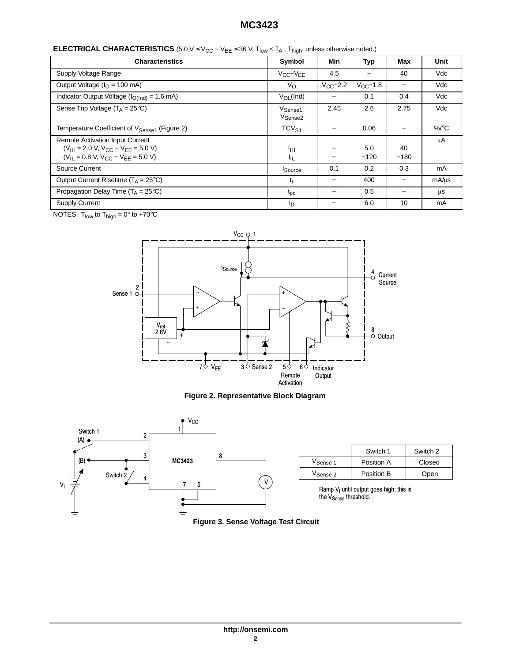# **MC3423**

| <b>ELECTRICAL CHARACTERISTICS</b> (5.0 V $\leq$ V <sub>CC</sub> – V <sub>EE</sub> $\leq$ 36 V, T <sub>low</sub> < T <sub>A</sub> , T <sub>high</sub> , unless otherwise noted.) |  |  |
|---------------------------------------------------------------------------------------------------------------------------------------------------------------------------------|--|--|
|---------------------------------------------------------------------------------------------------------------------------------------------------------------------------------|--|--|

| <b>Characteristics</b>                                                                                                               | Symbol                                      | Min                      | Typ           | Max          | Unit     |
|--------------------------------------------------------------------------------------------------------------------------------------|---------------------------------------------|--------------------------|---------------|--------------|----------|
| Supply Voltage Range                                                                                                                 | $V_{CC}-V_{EE}$                             | 4.5                      |               | 40           | Vdc      |
| Output Voltage ( $IO$ = 100 mA)                                                                                                      | $V_{\rm O}$                                 | $V_{CC}$ -2.2            | $V_{CC}$ -1.8 |              | Vdc      |
| Indicator Output Voltage ( $I_{O(Ind)} = 1.6$ mA)                                                                                    | $V_{OL}$ (Ind)                              | —                        | 0.1           | 0.4          | Vdc      |
| Sense Trip Voltage $(T_A = 25^{\circ}C)$                                                                                             | V <sub>Sense1,</sub><br>V <sub>Sense2</sub> | 2.45                     | 2.6           | 2.75         | Vdc      |
| Temperature Coefficient of V <sub>Sense1</sub> (Figure 2)                                                                            | TCV <sub>S1</sub>                           |                          | 0.06          |              | $\%$ /°C |
| <b>Remote Activation Input Current</b><br>$(V_{IH} = 2.0 V, V_{C}C - V_{FF} = 5.0 V)$<br>$(V_{IL} = 0.8 V, V_{CC} - V_{EE} = 5.0 V)$ | ŀщ<br>ŀμ                                    | —                        | 5.0<br>$-120$ | 40<br>$-180$ | μA       |
| Source Current                                                                                                                       | <b>I</b> Source                             | 0.1                      | 0.2           | 0.3          | mA       |
| Output Current Risetime ( $T_A = 25^{\circ}C$ )                                                                                      | t <sub>r</sub>                              | $\overline{\phantom{0}}$ | 400           |              | mA/us    |
| Propagation Delay Time ( $T_A = 25^{\circ}C$ )                                                                                       | $t_{\rm pd}$                                | -                        | 0.5           |              | μS       |
| <b>Supply Current</b>                                                                                                                | ΙD                                          |                          | 6.0           | 10           | mA       |

NOTES:  $T_{low}$  to  $T_{high} = 0^{\circ}$  to +70 $^{\circ}$ C



## **Figure 2. Representative Block Diagram**

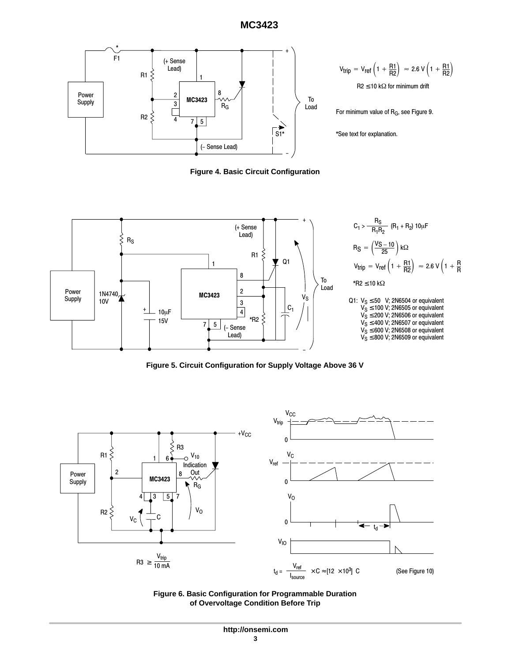

 $R2 \le 10 k\Omega$  for minimum drift  $V_{\text{trip}} = V_{\text{ref}} \left( 1 + \frac{R1}{R2} \right) \approx 2.6 \text{ V} \left( 1 + \frac{R1}{R2} \right)$ 

For minimum value of R<sub>G</sub>, see Figure 9.

\*See text for explanation.

**Figure 4. Basic Circuit Configuration**



**Figure 5. Circuit Configuration for Supply Voltage Above 36 V**



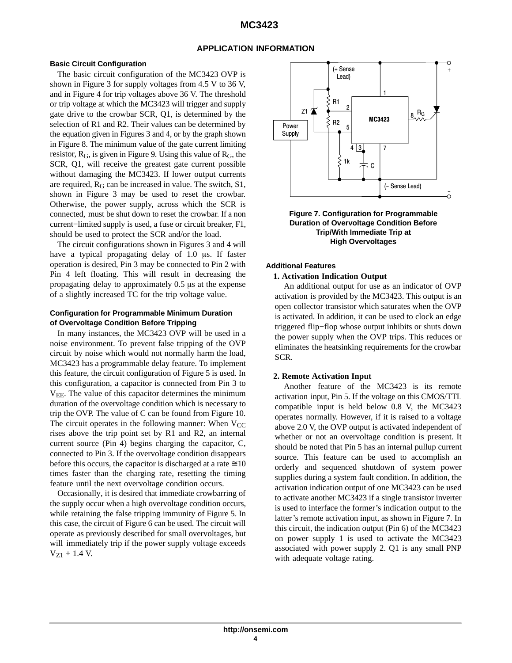#### **APPLICATION INFORMATION**

#### **Basic Circuit Configuration**

The basic circuit configuration of the MC3423 OVP is shown in Figure 3 for supply voltages from 4.5 V to 36 V, and in Figure 4 for trip voltages above 36 V. The threshold or trip voltage at which the MC3423 will trigger and supply gate drive to the crowbar SCR, Q1, is determined by the selection of R1 and R2. Their values can be determined by the equation given in Figures 3 and 4, or by the graph shown in Figure 8. The minimum value of the gate current limiting resistor,  $R_G$ , is given in Figure 9. Using this value of  $R_G$ , the SCR, Q1, will receive the greatest gate current possible without damaging the MC3423. If lower output currents are required, RG can be increased in value. The switch, S1, shown in Figure 3 may be used to reset the crowbar. Otherwise, the power supply, across which the SCR is connected, must be shut down to reset the crowbar. If a non current−limited supply is used, a fuse or circuit breaker, F1, should be used to protect the SCR and/or the load.

The circuit configurations shown in Figures 3 and 4 will have a typical propagating delay of 1.0 µs. If faster operation is desired, Pin 3 may be connected to Pin 2 with Pin 4 left floating. This will result in decreasing the propagating delay to approximately  $0.5$   $\mu$ s at the expense of a slightly increased TC for the trip voltage value.

#### **Configuration for Programmable Minimum Duration of Overvoltage Condition Before Tripping**

In many instances, the MC3423 OVP will be used in a noise environment. To prevent false tripping of the OVP circuit by noise which would not normally harm the load, MC3423 has a programmable delay feature. To implement this feature, the circuit configuration of Figure 5 is used. In this configuration, a capacitor is connected from Pin 3 to  $V_{EE}$ . The value of this capacitor determines the minimum duration of the overvoltage condition which is necessary to trip the OVP. The value of C can be found from Figure 10. The circuit operates in the following manner: When  $V_{CC}$ rises above the trip point set by R1 and R2, an internal current source (Pin 4) begins charging the capacitor, C, connected to Pin 3. If the overvoltage condition disappears before this occurs, the capacitor is discharged at a rate  $\approx 10$ times faster than the charging rate, resetting the timing feature until the next overvoltage condition occurs.

Occasionally, it is desired that immediate crowbarring of the supply occur when a high overvoltage condition occurs, while retaining the false tripping immunity of Figure 5. In this case, the circuit of Figure 6 can be used. The circuit will operate as previously described for small overvoltages, but will immediately trip if the power supply voltage exceeds  $V_{Z1}$  + 1.4 V.



#### **Figure 7. Configuration for Programmable Duration of Overvoltage Condition Before Trip/With Immediate Trip at High Overvoltages**

#### **Additional Features**

#### **1. Activation Indication Output**

An additional output for use as an indicator of OVP activation is provided by the MC3423. This output is an open collector transistor which saturates when the OVP is activated. In addition, it can be used to clock an edge triggered flip−flop whose output inhibits or shuts down the power supply when the OVP trips. This reduces or eliminates the heatsinking requirements for the crowbar SCR.

#### **2. Remote Activation Input**

Another feature of the MC3423 is its remote activation input, Pin 5. If the voltage on this CMOS/TTL compatible input is held below 0.8 V, the MC3423 operates normally. However, if it is raised to a voltage above 2.0 V, the OVP output is activated independent of whether or not an overvoltage condition is present. It should be noted that Pin 5 has an internal pullup current source. This feature can be used to accomplish an orderly and sequenced shutdown of system power supplies during a system fault condition. In addition, the activation indication output of one MC3423 can be used to activate another MC3423 if a single transistor inverter is used to interface the former's indication output to the latter's remote activation input, as shown in Figure 7. In this circuit, the indication output (Pin 6) of the MC3423 on power supply 1 is used to activate the MC3423 associated with power supply 2. Q1 is any small PNP with adequate voltage rating.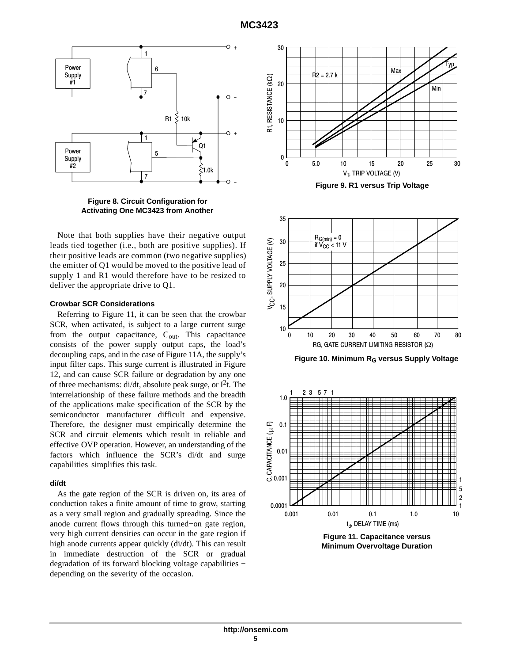

**Figure 8. Circuit Configuration for Activating One MC3423 from Another**

Note that both supplies have their negative output leads tied together (i.e., both are positive supplies). If their positive leads are common (two negative supplies) the emitter of Q1 would be moved to the positive lead of supply 1 and R1 would therefore have to be resized to deliver the appropriate drive to Q1.

#### **Crowbar SCR Considerations**

Referring to Figure 11, it can be seen that the crowbar SCR, when activated, is subject to a large current surge from the output capacitance,  $C_{\text{out}}$ . This capacitance consists of the power supply output caps, the load's decoupling caps, and in the case of Figure 11A, the supply's input filter caps. This surge current is illustrated in Figure 12, and can cause SCR failure or degradation by any one of three mechanisms: di/dt, absolute peak surge, or  $I<sup>2</sup>t$ . The interrelationship of these failure methods and the breadth of the applications make specification of the SCR by the semiconductor manufacturer difficult and expensive. Therefore, the designer must empirically determine the SCR and circuit elements which result in reliable and effective OVP operation. However, an understanding of the factors which influence the SCR's di/dt and surge capabilities simplifies this task.

## **di/dt**

As the gate region of the SCR is driven on, its area of conduction takes a finite amount of time to grow, starting as a very small region and gradually spreading. Since the anode current flows through this turned−on gate region, very high current densities can occur in the gate region if high anode currents appear quickly (di/dt). This can result in immediate destruction of the SCR or gradual degradation of its forward blocking voltage capabilities − depending on the severity of the occasion.





**Figure 10. Minimum RG versus Supply Voltage**



**Figure 11. Capacitance versus Minimum Overvoltage Duration**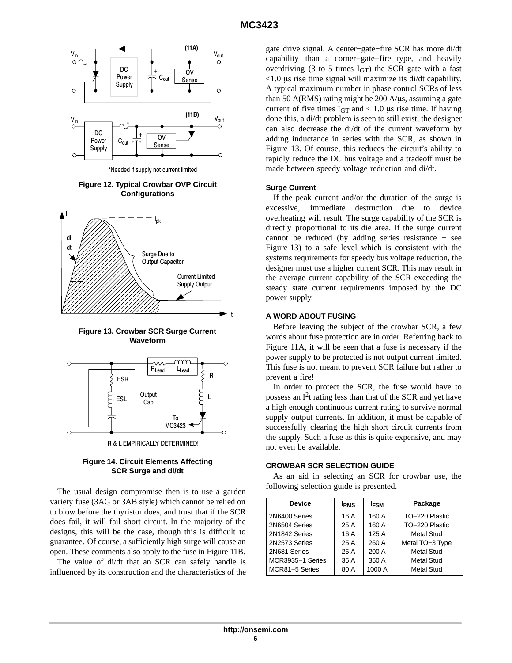

**Figure 12. Typical Crowbar OVP Circuit Configurations**



**Figure 13. Crowbar SCR Surge Current Waveform**



**Figure 14. Circuit Elements Affecting SCR Surge and di/dt**

The usual design compromise then is to use a garden variety fuse (3AG or 3AB style) which cannot be relied on to blow before the thyristor does, and trust that if the SCR does fail, it will fail short circuit. In the majority of the designs, this will be the case, though this is difficult to guarantee. Of course, a sufficiently high surge will cause an open. These comments also apply to the fuse in Figure 11B.

The value of di/dt that an SCR can safely handle is influenced by its construction and the characteristics of the gate drive signal. A center−gate−fire SCR has more di/dt capability than a corner−gate−fire type, and heavily overdriving (3 to 5 times  $I<sub>GT</sub>$ ) the SCR gate with a fast  $<$ 1.0 µs rise time signal will maximize its di/dt capability. A typical maximum number in phase control SCRs of less than 50 A(RMS) rating might be  $200$  A/ $\mu$ s, assuming a gate current of five times  $I_{GT}$  and  $< 1.0$  µs rise time. If having done this, a di/dt problem is seen to still exist, the designer can also decrease the di/dt of the current waveform by adding inductance in series with the SCR, as shown in Figure 13. Of course, this reduces the circuit's ability to rapidly reduce the DC bus voltage and a tradeoff must be made between speedy voltage reduction and di/dt.

#### **Surge Current**

If the peak current and/or the duration of the surge is excessive, immediate destruction due to device overheating will result. The surge capability of the SCR is directly proportional to its die area. If the surge current cannot be reduced (by adding series resistance − see Figure 13) to a safe level which is consistent with the systems requirements for speedy bus voltage reduction, the designer must use a higher current SCR. This may result in the average current capability of the SCR exceeding the steady state current requirements imposed by the DC power supply.

#### **A WORD ABOUT FUSING**

Before leaving the subject of the crowbar SCR, a few words about fuse protection are in order. Referring back to Figure 11A, it will be seen that a fuse is necessary if the power supply to be protected is not output current limited. This fuse is not meant to prevent SCR failure but rather to prevent a fire!

In order to protect the SCR, the fuse would have to possess an  $I<sup>2</sup>t$  rating less than that of the SCR and yet have a high enough continuous current rating to survive normal supply output currents. In addition, it must be capable of successfully clearing the high short circuit currents from the supply. Such a fuse as this is quite expensive, and may not even be available.

#### **CROWBAR SCR SELECTION GUIDE**

As an aid in selecting an SCR for crowbar use, the following selection guide is presented.

| <b>Device</b>    | <b>IRMS</b> | <b>IFSM</b> | Package           |
|------------------|-------------|-------------|-------------------|
| 2N6400 Series    | 16 A        | 160 A       | TO-220 Plastic    |
| 2N6504 Series    | 25 A        | 160 A       | TO-220 Plastic    |
| 2N1842 Series    | 16 A        | 125 A       | Metal Stud        |
| 2N2573 Series    | 25 A        | 260 A       | Metal TO-3 Type   |
| 2N681 Series     | 25 A        | 200 A       | <b>Metal Stud</b> |
| MCR3935-1 Series | 35 A        | 350 A       | Metal Stud        |
| MCR81-5 Series   | 80 A        | 1000 A      | <b>Metal Stud</b> |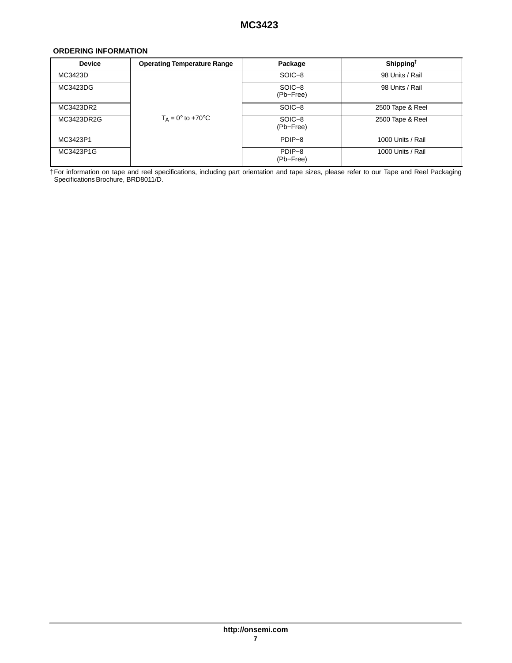## <span id="page-6-0"></span>**ORDERING INFORMATION**

| <b>Device</b> | <b>Operating Temperature Range</b> | Package             | Shipping <sup>†</sup> |
|---------------|------------------------------------|---------------------|-----------------------|
| MC3423D       |                                    | SOIC-8              | 98 Units / Rail       |
| MC3423DG      |                                    | SOIC-8<br>(Pb-Free) | 98 Units / Rail       |
| MC3423DR2     |                                    | SOIC-8              | 2500 Tape & Reel      |
| MC3423DR2G    | $T_A = 0^\circ$ to +70 $^\circ$ C  | SOIC-8<br>(Pb-Free) | 2500 Tape & Reel      |
| MC3423P1      |                                    | PDIP-8              | 1000 Units / Rail     |
| MC3423P1G     |                                    | PDIP-8<br>(Pb-Free) | 1000 Units / Rail     |

†For information on tape and reel specifications, including part orientation and tape sizes, please refer to our Tape and Reel Packaging Specifications Brochure, BRD8011/D.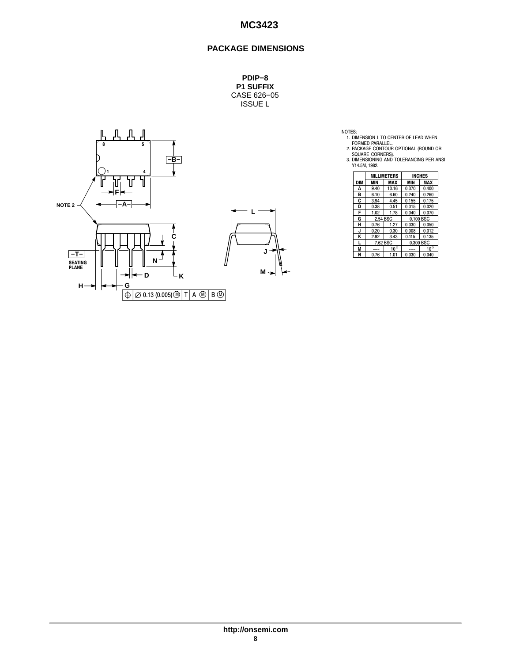## **MC3423**

## **PACKAGE DIMENSIONS**

**PDIP−8 P1 SUFFIX** CASE 626−05 ISSUE L



NOTES:<br>
1. DIMENSION L TO CENTER OF LEAD WHEN<br>
FORMED PARALLEL.<br>
2. PACKAGE CONTOUR OPTIONAL (ROUND OR<br>
SQUARE CORNERS).<br>
3. DIMENSIONING AND TOLERANCING PER ANSI<br>
Y14.5M, 1982.

|     | <b>MILLIMETERS</b> |              | <b>INCHES</b> |              |
|-----|--------------------|--------------|---------------|--------------|
| DIM | MIN                | MAX          | MIN           | <b>MAX</b>   |
| A   | 9.40               | 10.16        | 0.370         | 0.400        |
| в   | 6.10               | 6.60         | 0.240         | 0.260        |
| C   | 3.94               | 4.45         | 0.155         | 0.175        |
| D   | 0.38               | 0.51         | 0.015         | 0.020        |
| F   | 1.02               | 1.78         | 0.040         | 0.070        |
| G   | 2.54 BSC           |              | 0.100 BSC     |              |
| н   | 0.76               | 1.27         | 0.030         | 0.050        |
| J   | 0.20               | 0.30         | 0.008         | 0.012        |
| ĸ   | 2.92               | 3.43         | 0.115         | 0.135        |
| L   | 7.62 BSC           |              | 0.300 BSC     |              |
| M   |                    | $10^{\circ}$ |               | $10^{\circ}$ |
| N   | 0.76               | 1.01         | 0.030         | 0.040        |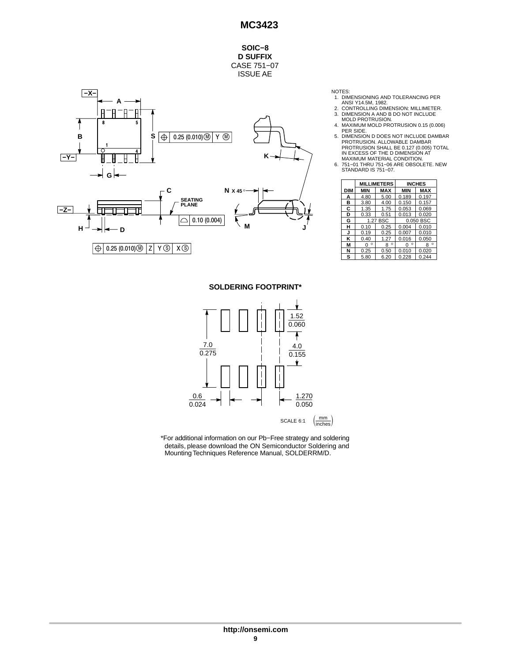**SOIC−8 D SUFFIX** CASE 751−07 ISSUE AE



NOTES:

- 1. DIMENSIONING AND TOLERANCING PER
- 
- 
- ANSI Y14.5M, 1982.<br>2. CONTROLLING DIMENSION: MILLIMETER.<br>3. DIMENSION A AND B DO NOT INCLUDE<br>MOLD PROTRUSION.<br>4. MAXIMUM MOLD PROTRUSION 0.15 (0.006)<br>PER SIDE.
- 5. DIMENSION D DOES NOT INCLUDE DAMBAR PROTRUSION. ALLOWABLE DAMBAR PROTRUSION SHALL BE 0.127 (0.005) TOTAL IN EXCESS OF THE D DIMENSION AT
- MAXIMUM MATERIAL CONDITION. 6. 751−01 THRU 751−06 ARE OBSOLETE. NEW STANDARD IS 751−07.

|     | <b>MILLIMETERS</b> |              | <b>INCHES</b> |              |
|-----|--------------------|--------------|---------------|--------------|
| DIM | MIN                | MAX          | MIN           | <b>MAX</b>   |
| А   | 4.80               | 5.00         | 0.189         | 0.197        |
| в   | 3.80               | 4.00         | 0.150         | 0.157        |
| C   | 1.35               | 1.75         | 0.053         | 0.069        |
| D   | 0.33               | 0.51         | 0.013         | 0.020        |
| G   | 1.27 BSC           |              | 0.050 BSC     |              |
| н   | 0.10               | 0.25         | 0.004         | 0.010        |
| J   | 0.19               | 0.25         | 0.007         | 0.010        |
| ĸ   | 0.40               | 1.27         | 0.016         | 0.050        |
| М   | $\circ$<br>n       | $\circ$<br>8 | $\circ$<br>O  | $\circ$<br>8 |
| N   | 0.25               | 0.50         | 0.010         | 0.020        |
| s   | 5.80               | 6.20         | 0.228         | 0.244        |

**SOLDERING FOOTPRINT\***



\*For additional information on our Pb−Free strategy and soldering details, please download the ON Semiconductor Soldering and Mounting Techniques Reference Manual, SOLDERRM/D.